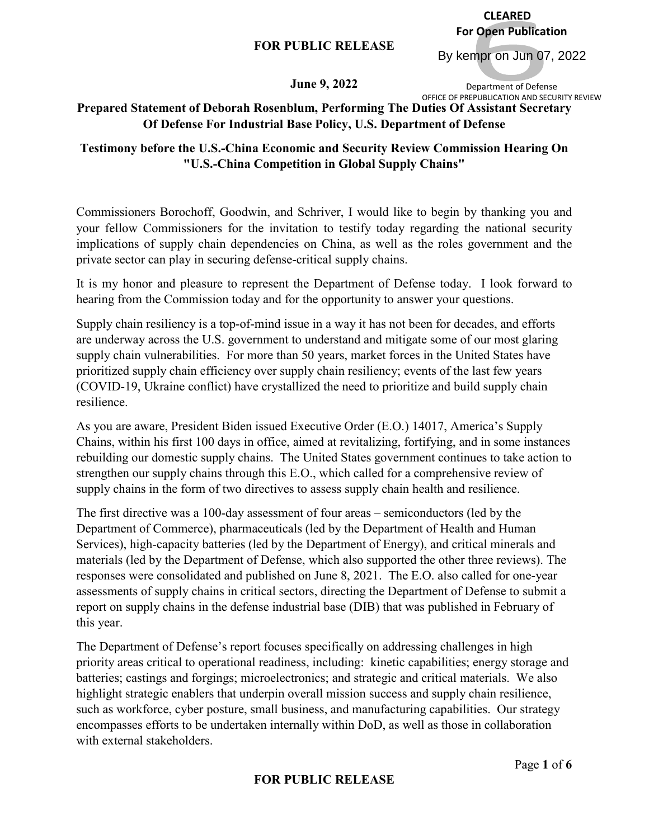**CLEARED For Open Publication**

By kempr on Jun 07, 2022

#### **June 9, 2022**

Department of Defense OFFICE OF PREPUBLICATION AND SECURITY REVIEW

# **Prepared Statement of Deborah Rosenblum, Performing The Duties Of Assistant Secretary Of Defense For Industrial Base Policy, U.S. Department of Defense**

## **Testimony before the U.S.-China Economic and Security Review Commission Hearing On "U.S.-China Competition in Global Supply Chains"**

Commissioners Borochoff, Goodwin, and Schriver, I would like to begin by thanking you and your fellow Commissioners for the invitation to testify today regarding the national security implications of supply chain dependencies on China, as well as the roles government and the private sector can play in securing defense-critical supply chains.

It is my honor and pleasure to represent the Department of Defense today. I look forward to hearing from the Commission today and for the opportunity to answer your questions.

Supply chain resiliency is a top-of-mind issue in a way it has not been for decades, and efforts are underway across the U.S. government to understand and mitigate some of our most glaring supply chain vulnerabilities. For more than 50 years, market forces in the United States have prioritized supply chain efficiency over supply chain resiliency; events of the last few years (COVID-19, Ukraine conflict) have crystallized the need to prioritize and build supply chain resilience.

As you are aware, President Biden issued Executive Order (E.O.) 14017, America's Supply Chains, within his first 100 days in office, aimed at revitalizing, fortifying, and in some instances rebuilding our domestic supply chains. The United States government continues to take action to strengthen our supply chains through this E.O., which called for a comprehensive review of supply chains in the form of two directives to assess supply chain health and resilience.

The first directive was a 100-day assessment of four areas – semiconductors (led by the Department of Commerce), pharmaceuticals (led by the Department of Health and Human Services), high-capacity batteries (led by the Department of Energy), and critical minerals and materials (led by the Department of Defense, which also supported the other three reviews). The responses were consolidated and published on June 8, 2021. The E.O. also called for one-year assessments of supply chains in critical sectors, directing the Department of Defense to submit a report on supply chains in the defense industrial base (DIB) that was published in February of this year.

The Department of Defense's report focuses specifically on addressing challenges in high priority areas critical to operational readiness, including: kinetic capabilities; energy storage and batteries; castings and forgings; microelectronics; and strategic and critical materials. We also highlight strategic enablers that underpin overall mission success and supply chain resilience, such as workforce, cyber posture, small business, and manufacturing capabilities. Our strategy encompasses efforts to be undertaken internally within DoD, as well as those in collaboration with external stakeholders.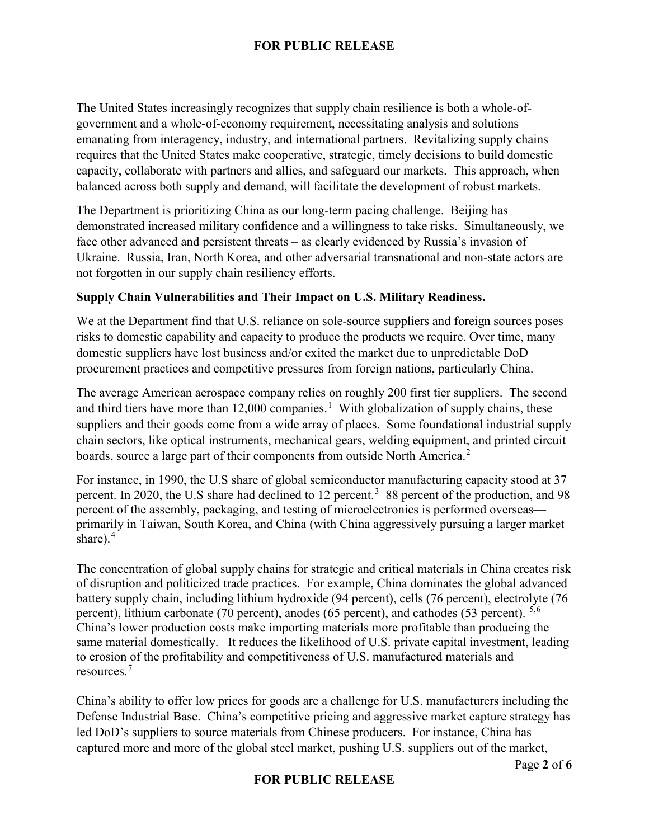The United States increasingly recognizes that supply chain resilience is both a whole-ofgovernment and a whole-of-economy requirement, necessitating analysis and solutions emanating from interagency, industry, and international partners. Revitalizing supply chains requires that the United States make cooperative, strategic, timely decisions to build domestic capacity, collaborate with partners and allies, and safeguard our markets. This approach, when balanced across both supply and demand, will facilitate the development of robust markets.

The Department is prioritizing China as our long-term pacing challenge. Beijing has demonstrated increased military confidence and a willingness to take risks. Simultaneously, we face other advanced and persistent threats – as clearly evidenced by Russia's invasion of Ukraine. Russia, Iran, North Korea, and other adversarial transnational and non-state actors are not forgotten in our supply chain resiliency efforts.

### **Supply Chain Vulnerabilities and Their Impact on U.S. Military Readiness.**

We at the Department find that U.S. reliance on sole-source suppliers and foreign sources poses risks to domestic capability and capacity to produce the products we require. Over time, many domestic suppliers have lost business and/or exited the market due to unpredictable DoD procurement practices and competitive pressures from foreign nations, particularly China.

The average American aerospace company relies on roughly 200 first tier suppliers. The second and third tiers have more than  $12,000$  $12,000$  companies.<sup>1</sup> With globalization of supply chains, these suppliers and their goods come from a wide array of places. Some foundational industrial supply chain sectors, like optical instruments, mechanical gears, welding equipment, and printed circuit boards, source a large part of their components from outside North America.<sup>[2](#page-5-1)</sup>

For instance, in 1990, the U.S share of global semiconductor manufacturing capacity stood at 37 percent. In 2020, the U.S share had declined to 12 percent.<sup>[3](#page-5-2)</sup> 88 percent of the production, and 98 percent of the assembly, packaging, and testing of microelectronics is performed overseas primarily in Taiwan, South Korea, and China (with China aggressively pursuing a larger market share). $4$ 

The concentration of global supply chains for strategic and critical materials in China creates risk of disruption and politicized trade practices. For example, China dominates the global advanced battery supply chain, including lithium hydroxide (94 percent), cells (76 percent), electrolyte (76 percent), lithium carbonate (70 percent), anodes (65 percent), and cathodes (53 percent). <sup>[5,](#page-5-4)[6](#page-5-5)</sup> China's lower production costs make importing materials more profitable than producing the same material domestically. It reduces the likelihood of U.S. private capital investment, leading to erosion of the profitability and competitiveness of U.S. manufactured materials and resources.[7](#page-5-6)

China's ability to offer low prices for goods are a challenge for U.S. manufacturers including the Defense Industrial Base. China's competitive pricing and aggressive market capture strategy has led DoD's suppliers to source materials from Chinese producers. For instance, China has captured more and more of the global steel market, pushing U.S. suppliers out of the market,

## Page **2** of **6**

### **FOR PUBLIC RELEASE**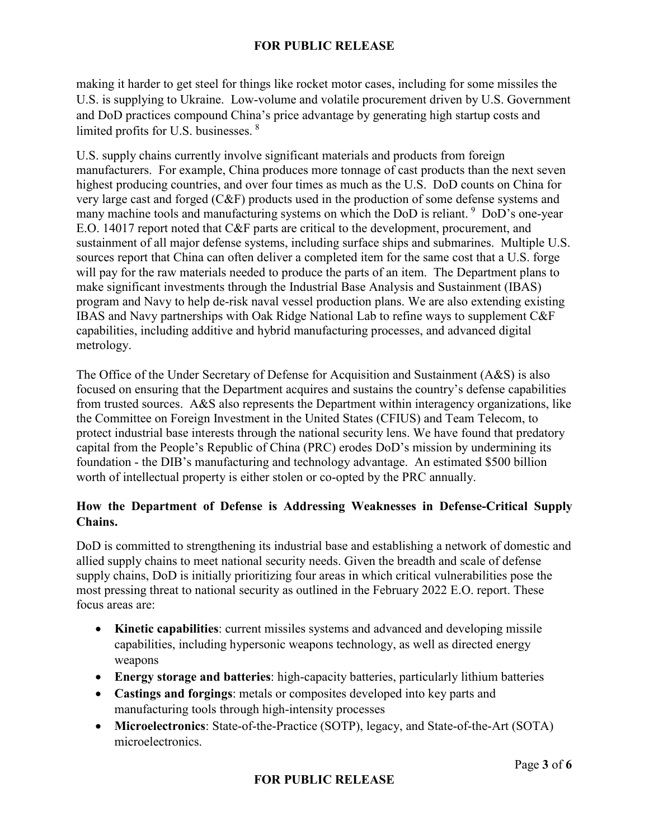making it harder to get steel for things like rocket motor cases, including for some missiles the U.S. is supplying to Ukraine. Low-volume and volatile procurement driven by U.S. Government and DoD practices compound China's price advantage by generating high startup costs and limited profits for U.S. businesses. [8](#page-5-7)

U.S. supply chains currently involve significant materials and products from foreign manufacturers. For example, China produces more tonnage of cast products than the next seven highest producing countries, and over four times as much as the U.S. DoD counts on China for very large cast and forged (C&F) products used in the production of some defense systems and many machine tools and manufacturing systems on which the DoD is reliant. <sup>[9](#page-5-8)</sup> DoD's one-year E.O. 14017 report noted that C&F parts are critical to the development, procurement, and sustainment of all major defense systems, including surface ships and submarines. Multiple U.S. sources report that China can often deliver a completed item for the same cost that a U.S. forge will pay for the raw materials needed to produce the parts of an item. The Department plans to make significant investments through the Industrial Base Analysis and Sustainment (IBAS) program and Navy to help de-risk naval vessel production plans. We are also extending existing IBAS and Navy partnerships with Oak Ridge National Lab to refine ways to supplement C&F capabilities, including additive and hybrid manufacturing processes, and advanced digital metrology.

The Office of the Under Secretary of Defense for Acquisition and Sustainment (A&S) is also focused on ensuring that the Department acquires and sustains the country's defense capabilities from trusted sources. A&S also represents the Department within interagency organizations, like the Committee on Foreign Investment in the United States (CFIUS) and Team Telecom, to protect industrial base interests through the national security lens. We have found that predatory capital from the People's Republic of China (PRC) erodes DoD's mission by undermining its foundation - the DIB's manufacturing and technology advantage. An estimated \$500 billion worth of intellectual property is either stolen or co-opted by the PRC annually.

## **How the Department of Defense is Addressing Weaknesses in Defense-Critical Supply Chains.**

DoD is committed to strengthening its industrial base and establishing a network of domestic and allied supply chains to meet national security needs. Given the breadth and scale of defense supply chains, DoD is initially prioritizing four areas in which critical vulnerabilities pose the most pressing threat to national security as outlined in the February 2022 E.O. report. These focus areas are:

- **Kinetic capabilities**: current missiles systems and advanced and developing missile capabilities, including hypersonic weapons technology, as well as directed energy weapons
- **Energy storage and batteries**: high-capacity batteries, particularly lithium batteries
- **Castings and forgings**: metals or composites developed into key parts and manufacturing tools through high-intensity processes
- **Microelectronics**: State-of-the-Practice (SOTP), legacy, and State-of-the-Art (SOTA) microelectronics.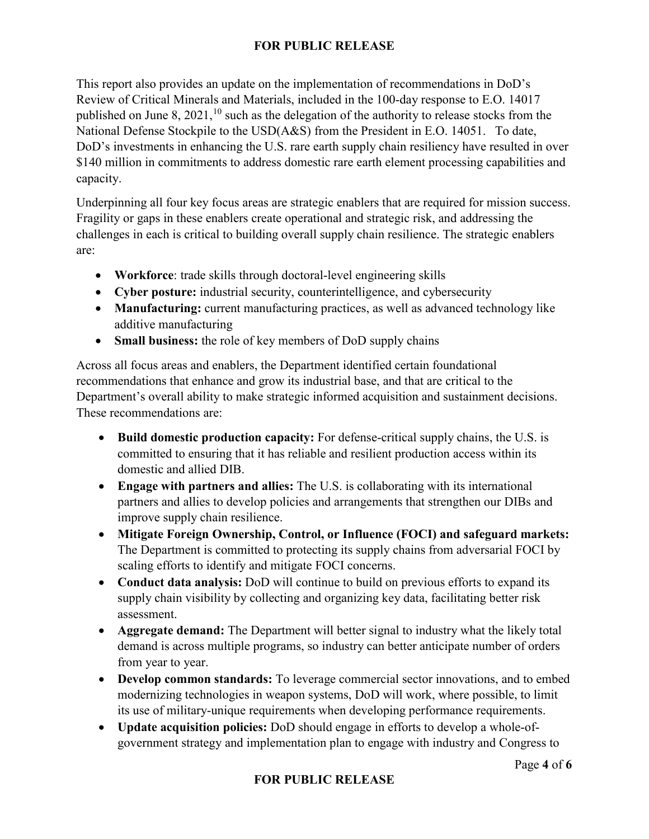This report also provides an update on the implementation of recommendations in DoD's Review of Critical Minerals and Materials, included in the 100-day response to E.O. 14017 published on June 8, 2021,<sup>[10](#page-5-9)</sup> such as the delegation of the authority to release stocks from the National Defense Stockpile to the USD(A&S) from the President in E.O. 14051. To date, DoD's investments in enhancing the U.S. rare earth supply chain resiliency have resulted in over \$140 million in commitments to address domestic rare earth element processing capabilities and capacity.

Underpinning all four key focus areas are strategic enablers that are required for mission success. Fragility or gaps in these enablers create operational and strategic risk, and addressing the challenges in each is critical to building overall supply chain resilience. The strategic enablers are:

- **Workforce**: trade skills through doctoral-level engineering skills
- **Cyber posture:** industrial security, counterintelligence, and cybersecurity
- **Manufacturing:** current manufacturing practices, as well as advanced technology like additive manufacturing
- **Small business:** the role of key members of DoD supply chains

Across all focus areas and enablers, the Department identified certain foundational recommendations that enhance and grow its industrial base, and that are critical to the Department's overall ability to make strategic informed acquisition and sustainment decisions. These recommendations are:

- **Build domestic production capacity:** For defense-critical supply chains, the U.S. is committed to ensuring that it has reliable and resilient production access within its domestic and allied DIB.
- **Engage with partners and allies:** The U.S. is collaborating with its international partners and allies to develop policies and arrangements that strengthen our DIBs and improve supply chain resilience.
- **Mitigate Foreign Ownership, Control, or Influence (FOCI) and safeguard markets:** The Department is committed to protecting its supply chains from adversarial FOCI by scaling efforts to identify and mitigate FOCI concerns.
- **Conduct data analysis:** DoD will continue to build on previous efforts to expand its supply chain visibility by collecting and organizing key data, facilitating better risk assessment.
- **Aggregate demand:** The Department will better signal to industry what the likely total demand is across multiple programs, so industry can better anticipate number of orders from year to year.
- **Develop common standards:** To leverage commercial sector innovations, and to embed modernizing technologies in weapon systems, DoD will work, where possible, to limit its use of military-unique requirements when developing performance requirements.
- **Update acquisition policies:** DoD should engage in efforts to develop a whole-ofgovernment strategy and implementation plan to engage with industry and Congress to

## **FOR PUBLIC RELEASE**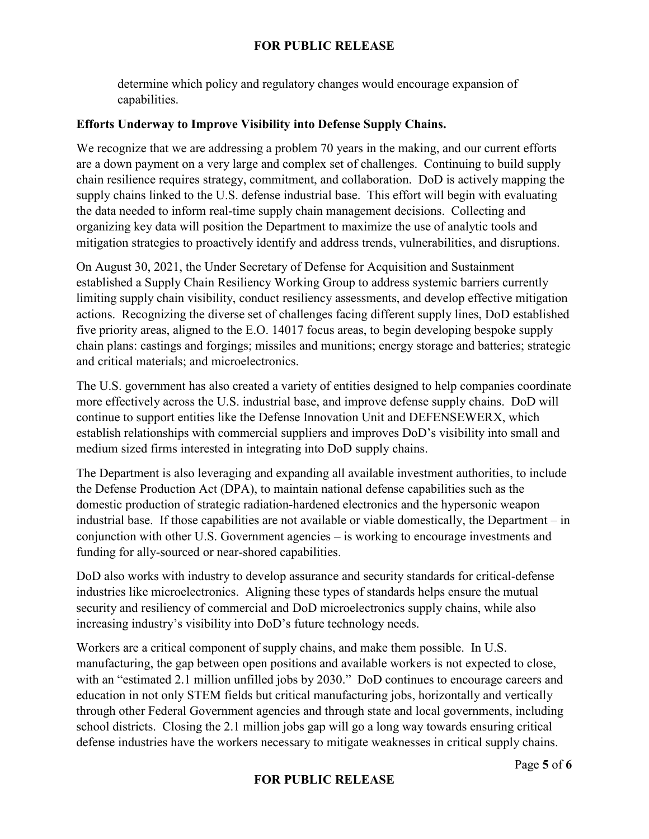determine which policy and regulatory changes would encourage expansion of capabilities.

#### **Efforts Underway to Improve Visibility into Defense Supply Chains.**

We recognize that we are addressing a problem 70 years in the making, and our current efforts are a down payment on a very large and complex set of challenges. Continuing to build supply chain resilience requires strategy, commitment, and collaboration. DoD is actively mapping the supply chains linked to the U.S. defense industrial base. This effort will begin with evaluating the data needed to inform real-time supply chain management decisions. Collecting and organizing key data will position the Department to maximize the use of analytic tools and mitigation strategies to proactively identify and address trends, vulnerabilities, and disruptions.

On August 30, 2021, the Under Secretary of Defense for Acquisition and Sustainment established a Supply Chain Resiliency Working Group to address systemic barriers currently limiting supply chain visibility, conduct resiliency assessments, and develop effective mitigation actions. Recognizing the diverse set of challenges facing different supply lines, DoD established five priority areas, aligned to the E.O. 14017 focus areas, to begin developing bespoke supply chain plans: castings and forgings; missiles and munitions; energy storage and batteries; strategic and critical materials; and microelectronics.

The U.S. government has also created a variety of entities designed to help companies coordinate more effectively across the U.S. industrial base, and improve defense supply chains. DoD will continue to support entities like the Defense Innovation Unit and DEFENSEWERX, which establish relationships with commercial suppliers and improves DoD's visibility into small and medium sized firms interested in integrating into DoD supply chains.

The Department is also leveraging and expanding all available investment authorities, to include the Defense Production Act (DPA), to maintain national defense capabilities such as the domestic production of strategic radiation-hardened electronics and the hypersonic weapon industrial base. If those capabilities are not available or viable domestically, the Department – in conjunction with other U.S. Government agencies – is working to encourage investments and funding for ally-sourced or near-shored capabilities.

DoD also works with industry to develop assurance and security standards for critical-defense industries like microelectronics. Aligning these types of standards helps ensure the mutual security and resiliency of commercial and DoD microelectronics supply chains, while also increasing industry's visibility into DoD's future technology needs.

Workers are a critical component of supply chains, and make them possible. In U.S. manufacturing, the gap between open positions and available workers is not expected to close, with an "estimated 2.1 million unfilled jobs by 2030." DoD continues to encourage careers and education in not only STEM fields but critical manufacturing jobs, horizontally and vertically through other Federal Government agencies and through state and local governments, including school districts. Closing the 2.1 million jobs gap will go a long way towards ensuring critical defense industries have the workers necessary to mitigate weaknesses in critical supply chains.

## **FOR PUBLIC RELEASE**